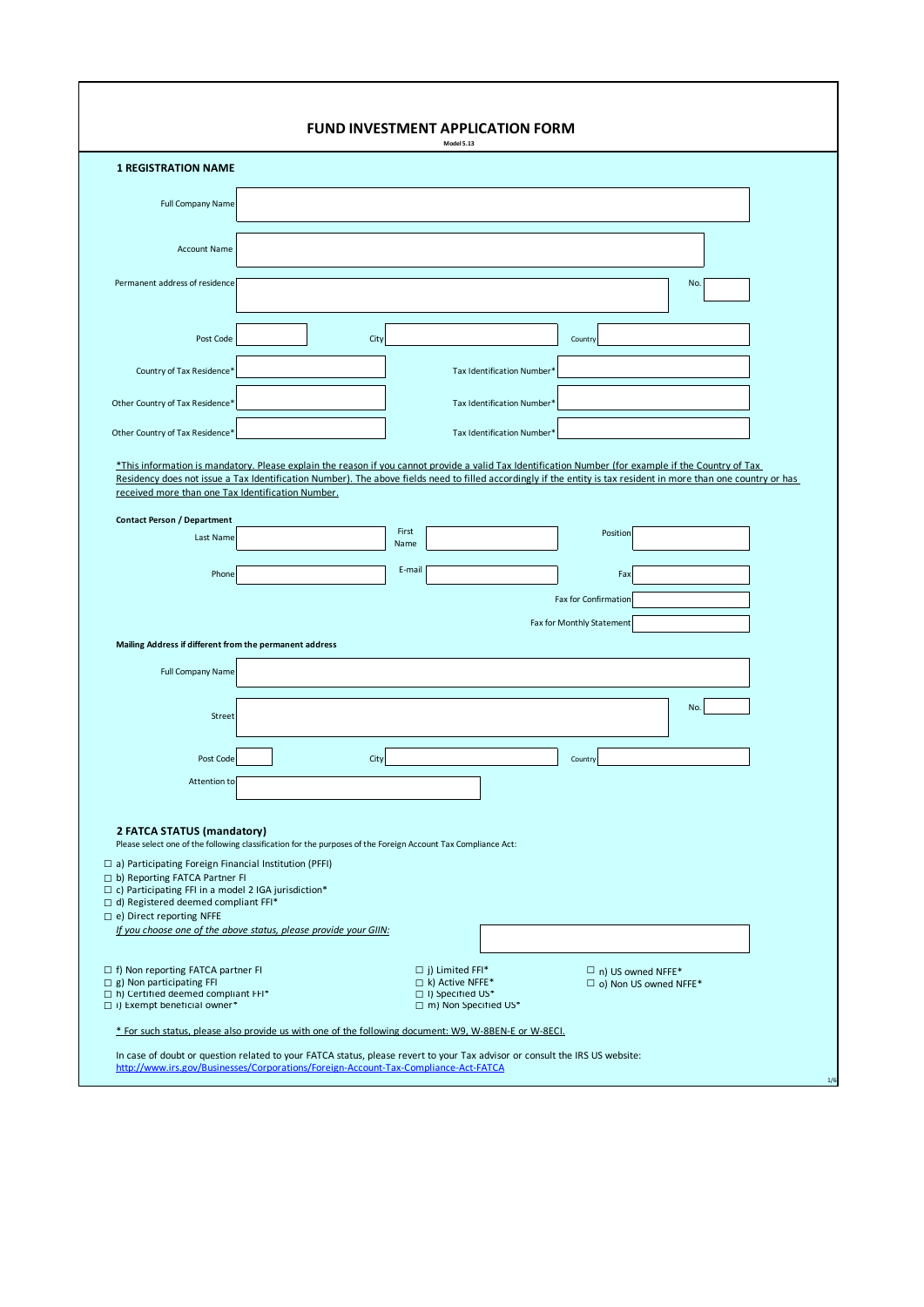| <b>1 REGISTRATION NAME</b>                                                                                                                  |      |                            |                                                                                                                                                                                                                                                                                                                          |  |
|---------------------------------------------------------------------------------------------------------------------------------------------|------|----------------------------|--------------------------------------------------------------------------------------------------------------------------------------------------------------------------------------------------------------------------------------------------------------------------------------------------------------------------|--|
| <b>Full Company Name</b>                                                                                                                    |      |                            |                                                                                                                                                                                                                                                                                                                          |  |
| <b>Account Name</b>                                                                                                                         |      |                            |                                                                                                                                                                                                                                                                                                                          |  |
|                                                                                                                                             |      |                            |                                                                                                                                                                                                                                                                                                                          |  |
| Permanent address of residence                                                                                                              |      |                            | No.                                                                                                                                                                                                                                                                                                                      |  |
| Post Code                                                                                                                                   | City |                            | Country                                                                                                                                                                                                                                                                                                                  |  |
| Country of Tax Residence*                                                                                                                   |      | Tax Identification Number* |                                                                                                                                                                                                                                                                                                                          |  |
| Other Country of Tax Residence*                                                                                                             |      | Tax Identification Number* |                                                                                                                                                                                                                                                                                                                          |  |
| Other Country of Tax Residence*                                                                                                             |      | Tax Identification Number* |                                                                                                                                                                                                                                                                                                                          |  |
|                                                                                                                                             |      |                            | *This information is mandatory. Please explain the reason if you cannot provide a valid Tax Identification Number (for example if the Country of Tax<br>Residency does not issue a Tax Identification Number). The above fields need to filled accordingly if the entity is tax resident in more than one country or has |  |
| received more than one Tax Identification Number.                                                                                           |      |                            |                                                                                                                                                                                                                                                                                                                          |  |
| <b>Contact Person / Department</b><br>Last Name                                                                                             |      | First                      | Position                                                                                                                                                                                                                                                                                                                 |  |
|                                                                                                                                             |      |                            |                                                                                                                                                                                                                                                                                                                          |  |
|                                                                                                                                             |      | Name                       |                                                                                                                                                                                                                                                                                                                          |  |
| Phone                                                                                                                                       |      | E-mail                     | Fax                                                                                                                                                                                                                                                                                                                      |  |
|                                                                                                                                             |      |                            | Fax for Confirmation                                                                                                                                                                                                                                                                                                     |  |
|                                                                                                                                             |      |                            | Fax for Monthly Statement                                                                                                                                                                                                                                                                                                |  |
| Mailing Address if different from the permanent address                                                                                     |      |                            |                                                                                                                                                                                                                                                                                                                          |  |
| <b>Full Company Name</b>                                                                                                                    |      |                            |                                                                                                                                                                                                                                                                                                                          |  |
| Street                                                                                                                                      |      |                            | No.                                                                                                                                                                                                                                                                                                                      |  |
|                                                                                                                                             |      |                            |                                                                                                                                                                                                                                                                                                                          |  |
| Post Code                                                                                                                                   | City |                            | Country                                                                                                                                                                                                                                                                                                                  |  |
| Attention to                                                                                                                                |      |                            |                                                                                                                                                                                                                                                                                                                          |  |
|                                                                                                                                             |      |                            |                                                                                                                                                                                                                                                                                                                          |  |
| 2 FATCA STATUS (mandatory)<br>Please select one of the following classification for the purposes of the Foreign Account Tax Compliance Act: |      |                            |                                                                                                                                                                                                                                                                                                                          |  |
| a) Participating Foreign Financial Institution (PFFI)                                                                                       |      |                            |                                                                                                                                                                                                                                                                                                                          |  |
| b) Reporting FATCA Partner FI<br>$\Box$ c) Participating FFI in a model 2 IGA jurisdiction*                                                 |      |                            |                                                                                                                                                                                                                                                                                                                          |  |
| $\Box$ d) Registered deemed compliant FFI*<br>□ e) Direct reporting NFFE                                                                    |      |                            |                                                                                                                                                                                                                                                                                                                          |  |
| If you choose one of the above status, please provide your GIIN:                                                                            |      |                            |                                                                                                                                                                                                                                                                                                                          |  |
| f) Non reporting FATCA partner FI                                                                                                           |      | $\Box$ j) Limited FFI*     | $\Box$ n) US owned NFFE*                                                                                                                                                                                                                                                                                                 |  |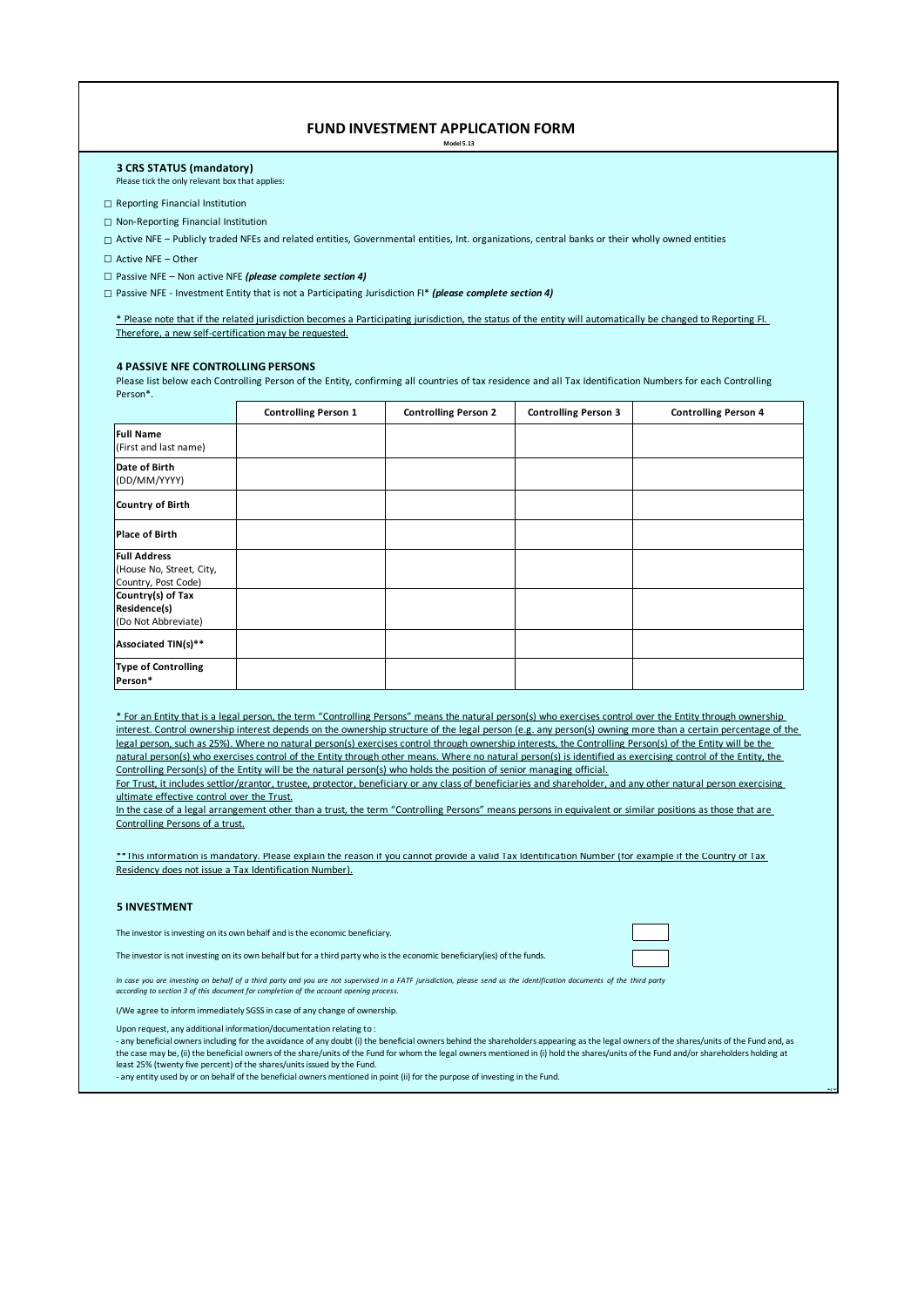## **FUND INVESTMENT APPLICATION FORM**

**Model 5.13**

#### **3 CRS STATUS (mandatory)** Please tick the only relevant box that applies:

**□** Reporting Financial Institution

**□** Non-Reporting Financial Institution

□ Active NFE – Publicly traded NFEs and related entities, Governmental entities, Int. organizations, central banks or their wholly owned entities

**□** Active NFE – Other

**□** Passive NFE – Non active NFE *(please complete section 4)*

**□** Passive NFE - Investment Entity that is not a Participating Jurisdiction FI\* *(please complete section 4)*

\* Please note that if the related jurisdiction becomes a Participating jurisdiction, the status of the entity will automatically be changed to Reporting FI. Therefore, a new self-certification may be requested.

## **4 PASSIVE NFE CONTROLLING PERSONS**

Please list below each Controlling Person of the Entity, confirming all countries of tax residence and all Tax Identification Numbers for each Controlling Person\*.

|                                                                        | <b>Controlling Person 1</b> | <b>Controlling Person 2</b> | <b>Controlling Person 3</b> | <b>Controlling Person 4</b> |
|------------------------------------------------------------------------|-----------------------------|-----------------------------|-----------------------------|-----------------------------|
| <b>Full Name</b><br>(First and last name)                              |                             |                             |                             |                             |
| Date of Birth<br>(DD/MM/YYYY)                                          |                             |                             |                             |                             |
| Country of Birth                                                       |                             |                             |                             |                             |
| <b>Place of Birth</b>                                                  |                             |                             |                             |                             |
| <b>Full Address</b><br>(House No, Street, City,<br>Country, Post Code) |                             |                             |                             |                             |
| Country(s) of Tax<br>Residence(s)<br>(Do Not Abbreviate)               |                             |                             |                             |                             |
| Associated TIN(s)**                                                    |                             |                             |                             |                             |
| <b>Type of Controlling</b><br>Person*                                  |                             |                             |                             |                             |

\* For an Entity that is a legal person, the term "Controlling Persons" means the natural person(s) who exercises control over the Entity through ownership interest. Control ownership interest depends on the ownership structure of the legal person (e.g. any person(s) owning more than a certain percentage of the legal person, such as 25%). Where no natural person(s) exercises control through ownership interests, the Controlling Person(s) of the Entity will be the natural person(s) who exercises control of the Entity through other means. Where no natural person(s) is identified as exercising control of the Entity, the Controlling Person(s) of the Entity will be the natural person(s) who holds the position of senior managing official.

For Trust, it includes settlor/grantor, trustee, protector, beneficiary or any class of beneficiaries and shareholder, and any other natural person exercising ultimate effective control over the Trust.

In the case of a legal arrangement other than a trust, the term "Controlling Persons" means persons in equivalent or similar positions as those that are Controlling Persons of a trust.

\*\*This information is mandatory. Please explain the reason if you cannot provide a valid Tax Identification Number (for example if the Country of Tax Residency does not issue a Tax Identification Number).

## **5 INVESTMENT**

The investor is investing on its own behalf and is the economic beneficiary.

The investor is not investing on its own behalf but for a third party who is the economic beneficiary(ies) of the funds.

 $\sim$ 

In case you are investing on behalf of a third party and you are not supervised in a FATF jurisdiction, please send us the identification documents of the third party<br>according to section 3 of this document for completion

I/We agree to inform immediately SGSS in case of any change of ownership.

Upon request, any additional information/documentation relating to :

- any beneficial owners including for the avoidance of any doubt (i) the beneficial owners behind the shareholders appearing as the legal owners of the shares/units of the Fund and, as the case may be, (ii) the beneficial owners of the share/units of the Fund for whom the legal owners mentioned in (i) hold the shares/units of the Fund and/or shareholders holding at least 25% (twenty five percent) of the shares/units issued by the Fund.

- any entity used by or on behalf of the beneficial owners mentioned in point (ii) for the purpose of investing in the Fund.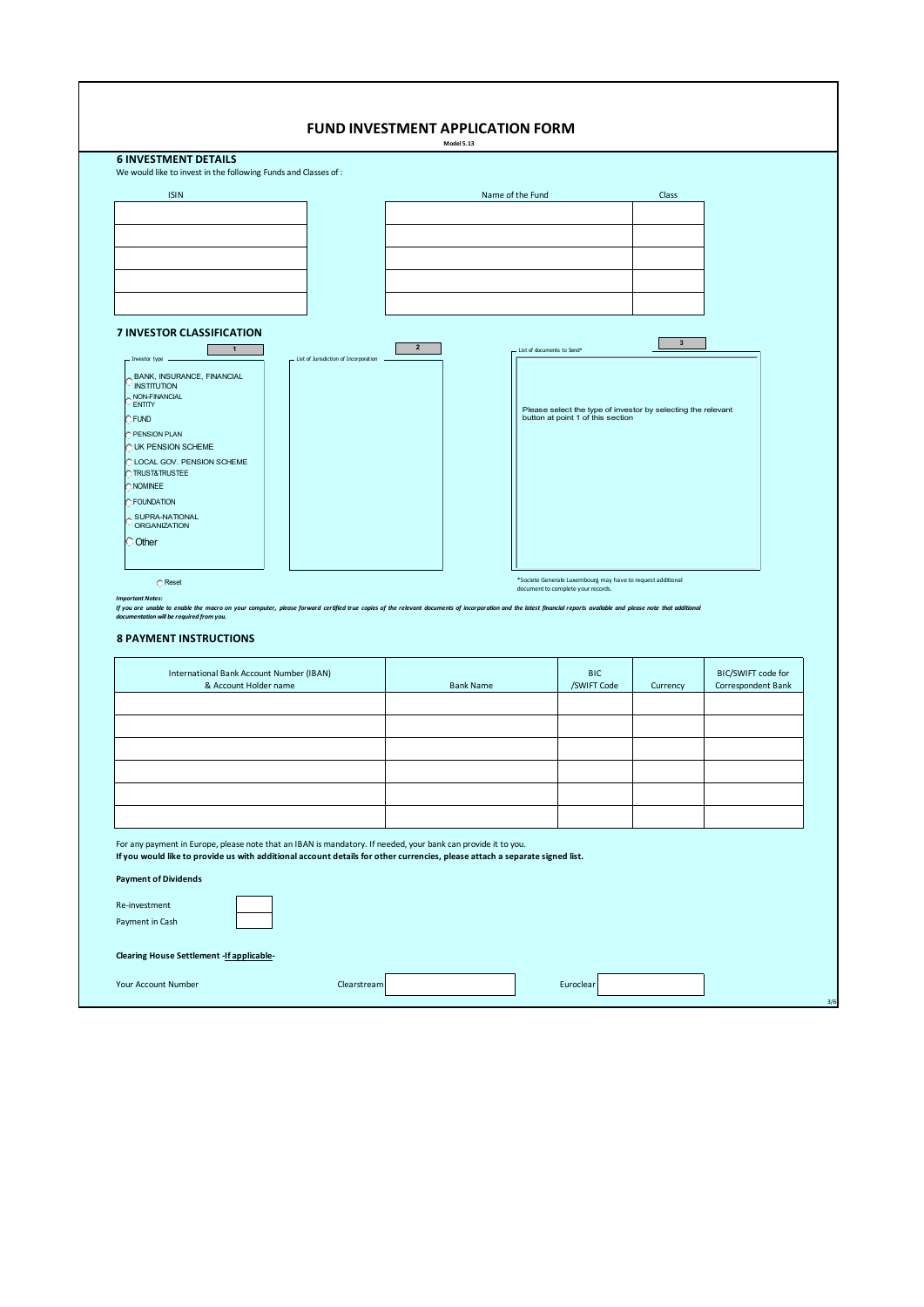| We would like to invest in the following Funds and Classes of :                                                                                                                                                                                                                                 |                                       |                  |                            |                                                                                                   |                |                                          |
|-------------------------------------------------------------------------------------------------------------------------------------------------------------------------------------------------------------------------------------------------------------------------------------------------|---------------------------------------|------------------|----------------------------|---------------------------------------------------------------------------------------------------|----------------|------------------------------------------|
| <b>ISIN</b>                                                                                                                                                                                                                                                                                     |                                       | Name of the Fund |                            |                                                                                                   | Class          |                                          |
|                                                                                                                                                                                                                                                                                                 |                                       |                  |                            |                                                                                                   |                |                                          |
|                                                                                                                                                                                                                                                                                                 |                                       |                  |                            |                                                                                                   |                |                                          |
|                                                                                                                                                                                                                                                                                                 |                                       |                  |                            |                                                                                                   |                |                                          |
|                                                                                                                                                                                                                                                                                                 |                                       |                  |                            |                                                                                                   |                |                                          |
| 7 INVESTOR CLASSIFICATION<br>$\mathbf{1}$<br>Investor type<br>BANK, INSURANCE, FINANCIAL<br><b>INSTITUTION</b><br>NON-FINANCIAL<br><b>ENTITY</b><br>FUND<br>PENSION PLAN<br>UK PENSION SCHEME<br>LOCAL GOV. PENSION SCHEME<br><b>TRUST&amp;TRUSTEE</b><br>NOMINEE<br>FOUNDATION                 | List of Jurisdiction of Incorporation | $\overline{2}$   | List of documents to Send* | Please select the type of investor by selecting the relevant<br>button at point 1 of this section | $\overline{3}$ |                                          |
| SUPRA-NATIONAL<br><b>ORGANIZATION</b><br>Other<br>C Reset<br><b>Important Notes:</b>                                                                                                                                                                                                            |                                       |                  |                            | *Societe Generale Luxembourg may have to request additional<br>document to complete your records. |                |                                          |
| If you are unable to enable the macro on your computer, please forward certified true copies of the relevant documents of incorporation and the latest financial reports available and please note that additional<br>documentation will be required from you.<br><b>8 PAYMENT INSTRUCTIONS</b> |                                       |                  |                            |                                                                                                   |                |                                          |
| International Bank Account Number (IBAN)<br>& Account Holder name                                                                                                                                                                                                                               |                                       | <b>Bank Name</b> |                            | <b>BIC</b><br>/SWIFT Code                                                                         | Currency       | BIC/SWIFT code for<br>Correspondent Bank |
|                                                                                                                                                                                                                                                                                                 |                                       |                  |                            |                                                                                                   |                |                                          |
|                                                                                                                                                                                                                                                                                                 |                                       |                  |                            |                                                                                                   |                |                                          |
|                                                                                                                                                                                                                                                                                                 |                                       |                  |                            |                                                                                                   |                |                                          |
|                                                                                                                                                                                                                                                                                                 |                                       |                  |                            |                                                                                                   |                |                                          |
|                                                                                                                                                                                                                                                                                                 |                                       |                  |                            |                                                                                                   |                |                                          |
|                                                                                                                                                                                                                                                                                                 |                                       |                  |                            |                                                                                                   |                |                                          |
|                                                                                                                                                                                                                                                                                                 |                                       |                  |                            |                                                                                                   |                |                                          |
| For any payment in Europe, please note that an IBAN is mandatory. If needed, your bank can provide it to you.<br>If you would like to provide us with additional account details for other currencies, please attach a separate signed list.                                                    |                                       |                  |                            |                                                                                                   |                |                                          |
| <b>Payment of Dividends</b><br>Re-investment                                                                                                                                                                                                                                                    |                                       |                  |                            |                                                                                                   |                |                                          |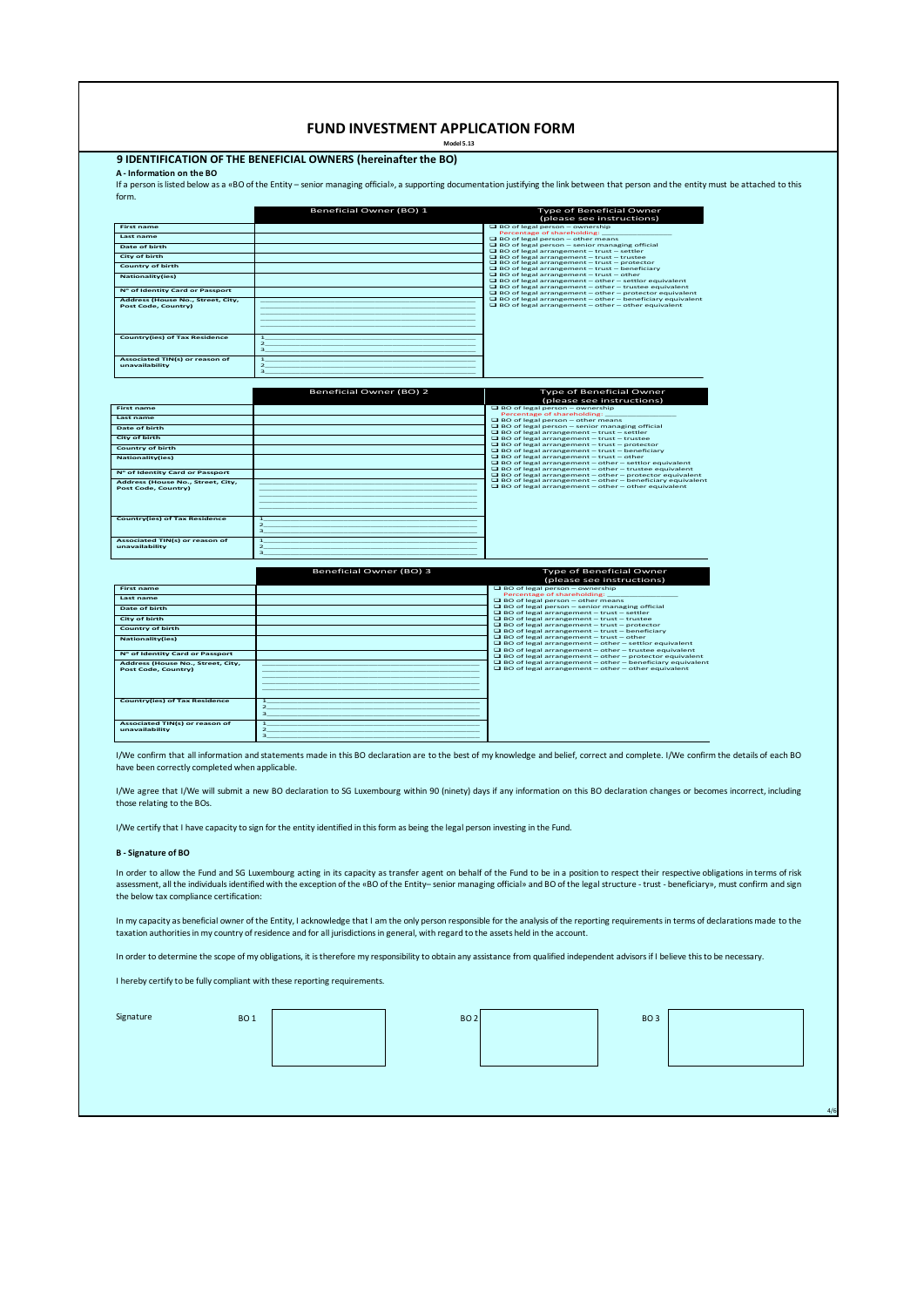|                                                                      | <b>FUND INVESTMENT APPLICATION FORM</b>                        |                                                                                                                                                                                            |  |
|----------------------------------------------------------------------|----------------------------------------------------------------|--------------------------------------------------------------------------------------------------------------------------------------------------------------------------------------------|--|
| A - Information on the BO                                            | 9 IDENTIFICATION OF THE BENEFICIAL OWNERS (hereinafter the BO) |                                                                                                                                                                                            |  |
|                                                                      |                                                                | If a person is listed below as a «BO of the Entity - senior managing official», a supporting documentation justifying the link between that person and the entity must be attached to this |  |
| form.                                                                |                                                                |                                                                                                                                                                                            |  |
|                                                                      | Beneficial Owner (BO) 1                                        | Type of Beneficial Owner<br>(please see instructions)                                                                                                                                      |  |
| <b>First name</b>                                                    |                                                                | BO of legal person - ownership<br>Percentage of shareholding:                                                                                                                              |  |
| Last name                                                            |                                                                | BO of legal person - other means                                                                                                                                                           |  |
| <b>Date of birth</b><br><b>City of birth</b>                         |                                                                | $\Box$ BO of legal person - senior managing official<br>$\Box$ BO of legal arrangement - trust - settler                                                                                   |  |
| <b>Country of birth</b>                                              |                                                                | $\Box$ BO of legal arrangement - trust - trustee<br>$\Box$ BO of legal arrangement - trust - protector                                                                                     |  |
| <b>Nationality(ies)</b>                                              |                                                                | $\Box$ BO of legal arrangement - trust - beneficiary<br>$\Box$ BO of legal arrangement - trust - other                                                                                     |  |
|                                                                      |                                                                | $\Box$ BO of legal arrangement - other - settlor equivalent<br>□ BO of legal arrangement - other - trustee equivalent                                                                      |  |
| Nº of Identity Card or Passport<br>Address (House No., Street, City, |                                                                | $\Box$ BO of legal arrangement - other - protector equivalent<br>BO of legal arrangement - other - beneficiary equivalent                                                                  |  |
| <b>Post Code, Country)</b>                                           |                                                                | $\Box$ BO of legal arrangement - other - other equivalent                                                                                                                                  |  |
|                                                                      |                                                                |                                                                                                                                                                                            |  |
|                                                                      |                                                                |                                                                                                                                                                                            |  |
| <b>Country(ies) of Tax Residence</b>                                 | ı<br>$\overline{2}$                                            |                                                                                                                                                                                            |  |
|                                                                      | $\overline{3}$                                                 |                                                                                                                                                                                            |  |
| Associated TIN(s) or reason of                                       | ı                                                              |                                                                                                                                                                                            |  |
| unavailability                                                       | $\overline{\mathbf{z}}$<br>$\overline{a}$                      |                                                                                                                                                                                            |  |
|                                                                      |                                                                |                                                                                                                                                                                            |  |
|                                                                      | Beneficial Owner (BO) 2                                        | Type of Beneficial Owner                                                                                                                                                                   |  |
| <b>First name</b>                                                    |                                                                | (please see instructions)<br>BO of legal person - ownership                                                                                                                                |  |
| Last name                                                            |                                                                | Percentage of shareholding:                                                                                                                                                                |  |
| Date of birth                                                        |                                                                | $\Box$ BO of legal person - other means<br>BO of legal person - senior managing official                                                                                                   |  |
| <b>City of birth</b>                                                 |                                                                | $\Box$ BO of legal arrangement - trust - settler<br>$\Box$ BO of legal arrangement - trust - trustee                                                                                       |  |
| <b>Country of birth</b>                                              |                                                                | $\Box$ BO of legal arrangement - trust - protector<br>$\Box$ BO of legal arrangement - trust - beneficiary                                                                                 |  |
| <b>Nationality(ies)</b>                                              |                                                                | $\Box$ BO of legal arrangement - trust - other<br>$\Box$ BO of legal arrangement - other - settlor equivalent                                                                              |  |
| Nº of Identity Card or Passport                                      |                                                                | $\Box$ BO of legal arrangement - other - trustee equivalent<br>BO of legal arrangement - other - protector equivalent                                                                      |  |
| Address (House No., Street, City,<br><b>Post Code, Country)</b>      |                                                                | $\Box$ BO of legal arrangement - other - beneficiary equivalent<br>$\Box$ BO of legal arrangement - other - other equivalent                                                               |  |
|                                                                      |                                                                |                                                                                                                                                                                            |  |
|                                                                      |                                                                |                                                                                                                                                                                            |  |
| <b>Country(ies) of Tax Residence</b>                                 | ı                                                              |                                                                                                                                                                                            |  |
|                                                                      | $\overline{2}$<br>$\overline{\mathbf{3}}$                      |                                                                                                                                                                                            |  |
| Associated TIN(s) or reason of                                       | $\overline{1}$                                                 |                                                                                                                                                                                            |  |
| unavailability                                                       | $\overline{\mathbf{z}}$<br>з                                   |                                                                                                                                                                                            |  |
|                                                                      | Beneficial Owner (BO) 3                                        | Type of Beneficial Owner                                                                                                                                                                   |  |
| <b>First name</b>                                                    |                                                                | (please see instructions)<br>□ BO of legal person - ownership                                                                                                                              |  |
| Last name                                                            |                                                                | Percentage of shareholding:<br>$\Box$ BO of legal person - other means                                                                                                                     |  |
| <b>Date of birth</b>                                                 |                                                                | □ BO of legal person - senior managing official                                                                                                                                            |  |
| <b>City of birth</b>                                                 |                                                                | $\Box$ BO of legal arrangement - trust - settler<br>$\Box$ BO of legal arrangement - trust - trustee                                                                                       |  |
| <b>Country of birth</b>                                              |                                                                | $\Box$ BO of legal arrangement - trust - protector<br>$\Box$ BO of legal arrangement - trust - beneficiary                                                                                 |  |
| <b>Nationality(ies)</b>                                              |                                                                | $\Box$ BO of legal arrangement - trust - other<br>BO of legal arrangement - other - settlor equivalent                                                                                     |  |
| Nº of Identity Card or Passport                                      |                                                                | $\Box$ BO of legal arrangement - other - trustee equivalent<br>$\Box$ BO of legal arrangement - other - protector equivalent                                                               |  |
| Address (House No., Street, City,                                    |                                                                | □ BO of legal arrangement - other - beneficiary equivalent                                                                                                                                 |  |
| Post Code, Country)                                                  |                                                                | $\Box$ BO of legal arrangement - other - other equivalent                                                                                                                                  |  |
|                                                                      |                                                                |                                                                                                                                                                                            |  |
|                                                                      |                                                                |                                                                                                                                                                                            |  |
| <b>Country(ies) of Tax Residence</b>                                 | $\mathbf{1}$<br>$\mathbf{z}$                                   |                                                                                                                                                                                            |  |
|                                                                      |                                                                |                                                                                                                                                                                            |  |

I/We confirm that all information and statements made in this BO declaration are to the best of my knowledge and belief, correct and complete. I/We confirm the details of each BO have been correctly completed when applicable.

I/We agree that I/We will submit a new BO declaration to SG Luxembourg within 90 (ninety) days if any information on this BO declaration changes or becomes incorrect, including those relating to the BOs.

I/We certify that I have capacity to sign for the entity identified in this form as being the legal person investing in the Fund.

1 and  $\sim$  1 and  $\sim$  1 and  $\sim$  1 and  $\sim$  1 and  $\sim$  1 and  $\sim$  1 and  $\sim$  1 and  $\sim$  $\frac{1}{2}$  and  $\frac{1}{2}$  and  $\frac{1}{2}$  and  $\frac{1}{2}$  and  $\frac{1}{2}$  and  $\frac{1}{2}$  and  $\frac{1}{2}$  and  $\frac{1}{2}$  and  $\frac{1}{2}$  and  $\frac{1}{2}$  and  $\frac{1}{2}$  and  $\frac{1}{2}$  and  $\frac{1}{2}$  and  $\frac{1}{2}$  and  $\frac{1}{2}$  and  $\frac{1}{2}$  a  $\overline{\mathbf{3}}$  , and the set of the set of the set of the set of the set of the set of the set of the set of the set of the set of the set of the set of the set of the set of the set of the set of the set of the set of the s

### **B - Signature of BO**

**Associated TIN(s) or reason of unavailability**

In order to allow the Fund and SG Luxembourg acting in its capacity as transfer agent on behalf of the Fund to be in a position to respect their respective obligations in terms of risk<br>assessment, all the individuals ident the below tax compliance certification:

In my capacity as beneficial owner of the Entity, I acknowledge that I am the only person responsible for the analysis of the reporting requirements in terms of declarations made to the taxation authorities in my country of residence and for all jurisdictions in general, with regard to the assets held in the account.

In order to determine the scope of my obligations, it is therefore my responsibility to obtain any assistance from qualified independent advisors if I believe this to be necessary.

I hereby certify to be fully compliant with these reporting requirements.

| Signature<br><b>BO1</b> | BO <sub>2</sub> | BO <sub>3</sub> |  |
|-------------------------|-----------------|-----------------|--|
|                         |                 |                 |  |
|                         |                 |                 |  |
|                         |                 |                 |  |

4/6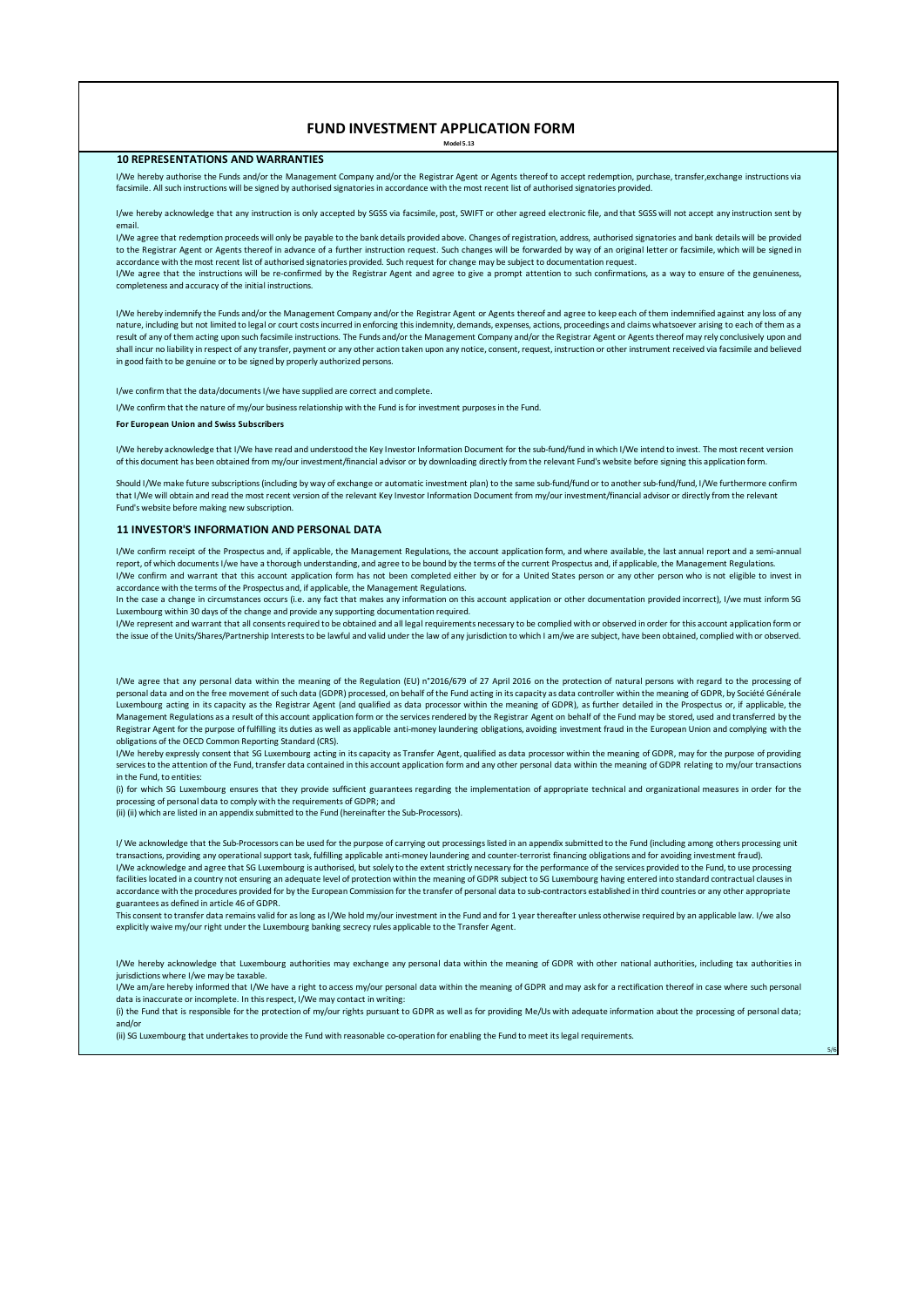# **FUND INVESTMENT APPLICATION FORM**

**Model 5.13**

### **10 REPRESENTATIONS AND WARRANTIES**

I/We hereby authorise the Funds and/or the Management Company and/or the Registrar Agent or Agents thereof to accept redemption, purchase, transfer,exchange instructions via facsimile. All such instructions will be signed by authorised signatories in accordance with the most recent list of authorised signatories provided.

I/we hereby acknowledge that any instruction is only accepted by SGSS via facsimile, post, SWIFT or other agreed electronic file, and that SGSS will not accept any instruction sent by email.

I/We agree that redemption proceeds will only be payable to the bank details provided above. Changes of registration, address, authorised signatories and bank details will be provided to the Registrar Agent or Agents thereof in advance of a further instruction request. Such changes will be forwarded by way of an original letter or facsimile, which will be signed in accordance with the most recent list of authorised signatories provided. Such request for change may be subject to documentation request.

I/We agree that the instructions will be re-confirmed by the Registrar Agent and agree to give a prompt attention to such confirmations, as a way to ensure of the genuineness, completeness and accuracy of the initial instructions.

I/We hereby indemnify the Funds and/or the Management Company and/or the Registrar Agent or Agents thereof and agree to keep each of them indemnified against any loss of any nature, including but not limited to legal or court costs incurred in enforcing this indemnity, demands, expenses, actions, proceedings and claims whatsoever arising to each of them as a result of any of them acting upon such facsimile instructions. The Funds and/or the Management Company and/or the Registrar Agent or Agents thereof may rely conclusively upon and shall incur no liability in respect of any transfer, payment or any other action taken upon any notice, consent, request, instruction or other instrument received via facsimile and believed in good faith to be genuine or to be signed by properly authorized persons.

I/we confirm that the data/documents I/we have supplied are correct and complete.

I/We confirm that the nature of my/our business relationship with the Fund is for investment purposes in the Fund.

#### **For European Union and Swiss Subscribers**

I/We hereby acknowledge that I/We have read and understood the Key Investor Information Document for the sub-fund/fund in which I/We intend to invest. The most recent version of this document has been obtained from my/our investment/financial advisor or by downloading directly from the relevant Fund's website before signing this application form.

Should I/We make future subscriptions (including by way of exchange or automatic investment plan) to the same sub-fund/fund or to another sub-fund/fund, I/We furthermore confirm that I/We will obtain and read the most recent version of the relevant Key Investor Information Document from my/our investment/financial advisor or directly from the relevant Fund's website before making new subscription.

### **11 INVESTOR'S INFORMATION AND PERSONAL DATA**

I/We confirm receipt of the Prospectus and, if applicable, the Management Regulations, the account application form, and where available, the last annual report and a semi-annual report, of which documents I/we have a thorough understanding, and agree to be bound by the terms of the current Prospectus and, if applicable, the Management Regulations. I/We confirm and warrant that this account application form has not been completed either by or for a United States person or any other person who is not eligible to invest in accordance with the terms of the Prospectus and, if applicable, the Management Regulations.

In the case a change in circumstances occurs (i.e. any fact that makes any information on this account application or other documentation provided incorrect), I/we must inform SG Luxembourg within 30 days of the change and provide any supporting documentation required.

I/We represent and warrant that all consents required to be obtained and all legal requirements necessary to be complied with or observed in order for this account application form or the issue of the Units/Shares/Partnership Interests to be lawful and valid under the law of any jurisdiction to which I am/we are subject, have been obtained, complied with or observed.

I/We agree that any personal data within the meaning of the Regulation (EU) n°2016/679 of 27 April 2016 on the protection of natural persons with regard to the processing of personal data and on the free movement of such data (GDPR) processed, on behalf of the Fund acting in its capacity as data controller within the meaning of GDPR, by Société Générale Luxembourg acting in its capacity as the Registrar Agent (and qualified as data processor within the meaning of GDPR), as further detailed in the Prospectus or, if applicable, the Management Regulations as a result of this account application form or the servicesrendered by the Registrar Agent on behalf of the Fund may be stored, used and transferred by the Registrar Agent for the purpose of fulfilling its duties as well as applicable anti-money laundering obligations, avoiding investment fraud in the European Union and complying with the obligations of the OECD Common Reporting Standard (CRS).

I/We hereby expressly consent that SG Luxembourg acting in its capacity as Transfer Agent, qualified as data processor within the meaning of GDPR, may for the purpose of providing services to the attention of the Fund, transfer data contained in this account application form and any other personal data within the meaning of GDPR relating to my/our transactions in the Fund, to entities:

(i) for which SG Luxembourg ensures that they provide sufficient guarantees regarding the implementation of appropriate technical and organizational measures in order for the processing of personal data to comply with the requirements of GDPR; and

(ii) (ii) which are listed in an appendix submitted to the Fund (hereinafter the Sub-Processors).

I/ We acknowledge that the Sub-Processors can be used for the purpose of carrying out processings listed in an appendix submitted to the Fund (including among others processing unit transactions, providing any operational support task, fulfilling applicable anti-money laundering and counter-terrorist financing obligations and for avoiding investment fraud). I/We acknowledge and agree that SG Luxembourg is authorised, but solely to the extent strictly necessary for the performance of the services provided to the Fund, to use processing facilities located in a country not ensuring an adequate level of protection within the meaning of GDPR subject to SG Luxembourg having entered into standard contractual clauses in accordance with the procedures provided for by the European Commission for the transfer of personal data to sub-contractors established in third countries or any other appropriate guarantees as defined in article 46 of GDPR.

This consent to transfer data remains valid for as long as I/We hold my/our investment in the Fund and for 1 year thereafter unless otherwise required by an applicable law. I/we also explicitly waive my/our right under the Luxembourg banking secrecy rules applicable to the Transfer Agent.

I/We hereby acknowledge that Luxembourg authorities may exchange any personal data within the meaning of GDPR with other national authorities, including tax authorities in jurisdictions where I/we may be taxable.

I/We am/are hereby informed that I/We have a right to access my/our personal data within the meaning of GDPR and may ask for a rectification thereof in case where such personal data is inaccurate or incomplete. In this respect, I/We may contact in writing:

(i) the Fund that is responsible for the protection of my/our rights pursuant to GDPR as well as for providing Me/Us with adequate information about the processing of personal data; and/or

5/6

(ii) SG Luxembourg that undertakes to provide the Fund with reasonable co-operation for enabling the Fund to meet its legal requirements.